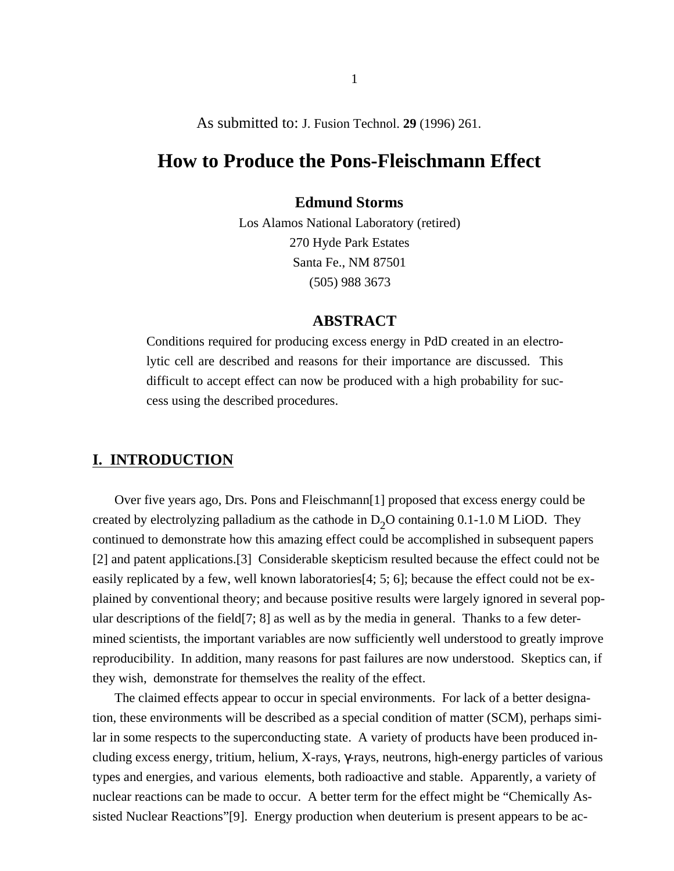## As submitted to: J. Fusion Technol. **29** (1996) 261.

# **How to Produce the Pons-Fleischmann Effect**

### **Edmund Storms**

Los Alamos National Laboratory (retired) 270 Hyde Park Estates Santa Fe., NM 87501 (505) 988 3673

## **ABSTRACT**

Conditions required for producing excess energy in PdD created in an electrolytic cell are described and reasons for their importance are discussed. This difficult to accept effect can now be produced with a high probability for success using the described procedures.

# **I. INTRODUCTION**

Over five years ago, Drs. Pons and Fleischmann[1] proposed that excess energy could be created by electrolyzing palladium as the cathode in  $D_2O$  containing 0.1-1.0 M LiOD. They continued to demonstrate how this amazing effect could be accomplished in subsequent papers [2] and patent applications.[3] Considerable skepticism resulted because the effect could not be easily replicated by a few, well known laboratories[4; 5; 6]; because the effect could not be explained by conventional theory; and because positive results were largely ignored in several popular descriptions of the field[7; 8] as well as by the media in general. Thanks to a few determined scientists, the important variables are now sufficiently well understood to greatly improve reproducibility. In addition, many reasons for past failures are now understood. Skeptics can, if they wish, demonstrate for themselves the reality of the effect.

The claimed effects appear to occur in special environments. For lack of a better designation, these environments will be described as a special condition of matter (SCM), perhaps similar in some respects to the superconducting state. A variety of products have been produced including excess energy, tritium, helium, X-rays, -rays, neutrons, high-energy particles of various types and energies, and various elements, both radioactive and stable. Apparently, a variety of nuclear reactions can be made to occur. A better term for the effect might be "Chemically Assisted Nuclear Reactions"[9]. Energy production when deuterium is present appears to be ac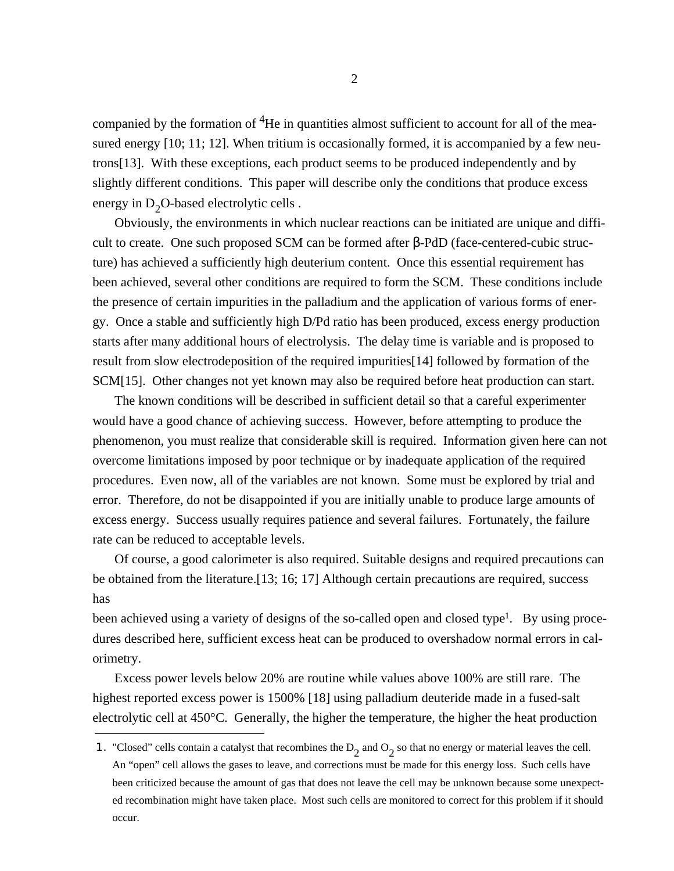companied by the formation of  ${}^{4}$ He in quantities almost sufficient to account for all of the measured energy [10; 11; 12]. When tritium is occasionally formed, it is accompanied by a few neutrons[13]. With these exceptions, each product seems to be produced independently and by slightly different conditions. This paper will describe only the conditions that produce excess energy in  $D_2O$ -based electrolytic cells.

Obviously, the environments in which nuclear reactions can be initiated are unique and difficult to create. One such proposed SCM can be formed after -PdD (face-centered-cubic structure) has achieved a sufficiently high deuterium content. Once this essential requirement has been achieved, several other conditions are required to form the SCM. These conditions include the presence of certain impurities in the palladium and the application of various forms of energy. Once a stable and sufficiently high D/Pd ratio has been produced, excess energy production starts after many additional hours of electrolysis. The delay time is variable and is proposed to result from slow electrodeposition of the required impurities[14] followed by formation of the SCM[15]. Other changes not yet known may also be required before heat production can start.

The known conditions will be described in sufficient detail so that a careful experimenter would have a good chance of achieving success. However, before attempting to produce the phenomenon, you must realize that considerable skill is required. Information given here can not overcome limitations imposed by poor technique or by inadequate application of the required procedures. Even now, all of the variables are not known. Some must be explored by trial and error. Therefore, do not be disappointed if you are initially unable to produce large amounts of excess energy. Success usually requires patience and several failures. Fortunately, the failure rate can be reduced to acceptable levels.

Of course, a good calorimeter is also required. Suitable designs and required precautions can be obtained from the literature.[13; 16; 17] Although certain precautions are required, success has

been achieved using a variety of designs of the so-called open and closed type<sup>1</sup>. By using procedures described here, sufficient excess heat can be produced to overshadow normal errors in calorimetry.

Excess power levels below 20% are routine while values above 100% are still rare. The highest reported excess power is 1500% [18] using palladium deuteride made in a fused-salt electrolytic cell at 450°C. Generally, the higher the temperature, the higher the heat production

<sup>1. &</sup>quot;Closed" cells contain a catalyst that recombines the  $D_2$  and  $O_2$  so that no energy or material leaves the cell. An "open" cell allows the gases to leave, and corrections must be made for this energy loss. Such cells have been criticized because the amount of gas that does not leave the cell may be unknown because some unexpected recombination might have taken place. Most such cells are monitored to correct for this problem if it should occur.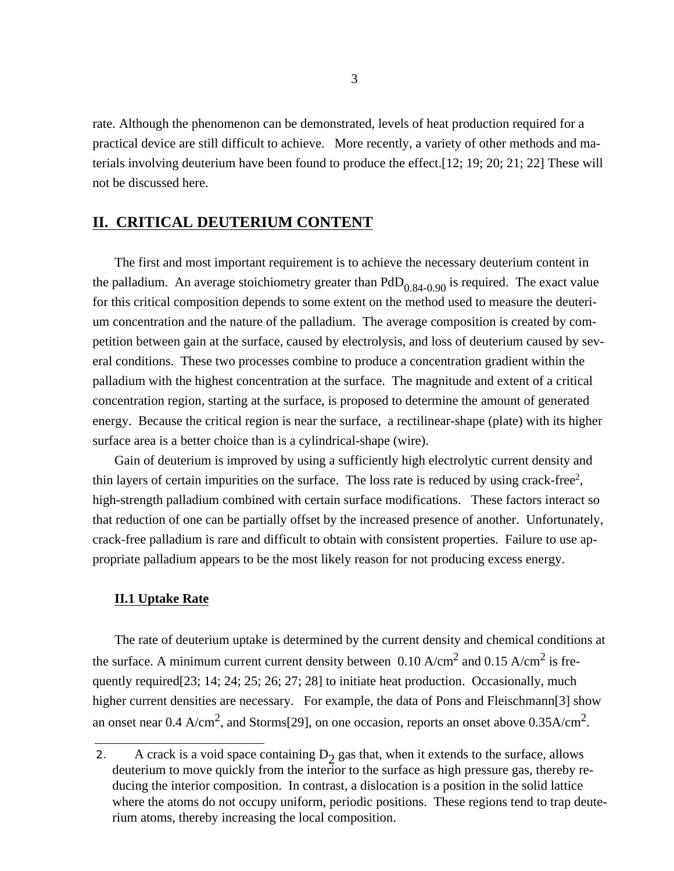rate. Although the phenomenon can be demonstrated, levels of heat production required for a practical device are still difficult to achieve. More recently, a variety of other methods and materials involving deuterium have been found to produce the effect.[12; 19; 20; 21; 22] These will not be discussed here.

### **II. CRITICAL DEUTERIUM CONTENT**

The first and most important requirement is to achieve the necessary deuterium content in the palladium. An average stoichiometry greater than  $PdD_{0.84-0.90}$  is required. The exact value for this critical composition depends to some extent on the method used to measure the deuterium concentration and the nature of the palladium. The average composition is created by competition between gain at the surface, caused by electrolysis, and loss of deuterium caused by several conditions. These two processes combine to produce a concentration gradient within the palladium with the highest concentration at the surface. The magnitude and extent of a critical concentration region, starting at the surface, is proposed to determine the amount of generated energy. Because the critical region is near the surface, a rectilinear-shape (plate) with its higher surface area is a better choice than is a cylindrical-shape (wire).

Gain of deuterium is improved by using a sufficiently high electrolytic current density and thin layers of certain impurities on the surface. The loss rate is reduced by using crack-free<sup>2</sup>, high-strength palladium combined with certain surface modifications. These factors interact so that reduction of one can be partially offset by the increased presence of another. Unfortunately, crack-free palladium is rare and difficult to obtain with consistent properties. Failure to use appropriate palladium appears to be the most likely reason for not producing excess energy.

### **II.1 Uptake Rate**

The rate of deuterium uptake is determined by the current density and chemical conditions at the surface. A minimum current current density between 0.10  $A/cm^2$  and 0.15  $A/cm^2$  is frequently required[23; 14; 24; 25; 26; 27; 28] to initiate heat production. Occasionally, much higher current densities are necessary. For example, the data of Pons and Fleischmann[3] show an onset near 0.4  $A/cm^2$ , and Storms[29], on one occasion, reports an onset above 0.35 $A/cm^2$ .

<sup>2.</sup> A crack is a void space containing  $D_2$  gas that, when it extends to the surface, allows deuterium to move quickly from the interior to the surface as high pressure gas, thereby reducing the interior composition. In contrast, a dislocation is a position in the solid lattice where the atoms do not occupy uniform, periodic positions. These regions tend to trap deuterium atoms, thereby increasing the local composition.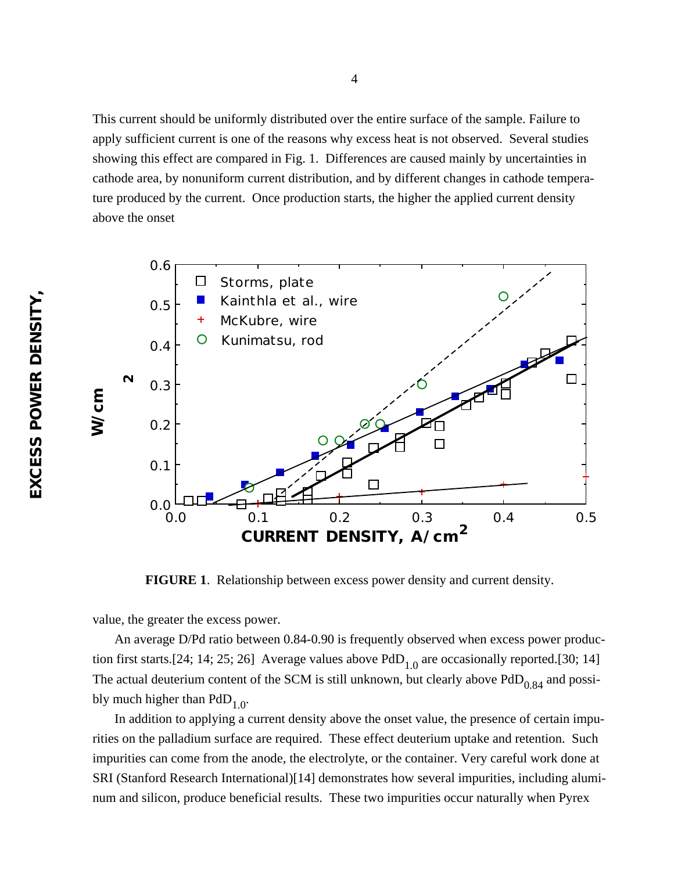This current should be uniformly distributed over the entire surface of the sample. Failure to apply sufficient current is one of the reasons why excess heat is not observed. Several studies showing this effect are compared in Fig. 1. Differences are caused mainly by uncertainties in cathode area, by nonuniform current distribution, and by different changes in cathode temperature produced by the current. Once production starts, the higher the applied current density above the onset



**FIGURE 1**. Relationship between excess power density and current density.

value, the greater the excess power.

An average D/Pd ratio between 0.84-0.90 is frequently observed when excess power production first starts.[24; 14; 25; 26] Average values above  $PdD_{1,0}$  are occasionally reported.[30; 14] The actual deuterium content of the SCM is still unknown, but clearly above  $PdD<sub>0.84</sub>$  and possibly much higher than  $PdD_{1,0}$ .

In addition to applying a current density above the onset value, the presence of certain impurities on the palladium surface are required. These effect deuterium uptake and retention. Such impurities can come from the anode, the electrolyte, or the container. Very careful work done at SRI (Stanford Research International)[14] demonstrates how several impurities, including aluminum and silicon, produce beneficial results. These two impurities occur naturally when Pyrex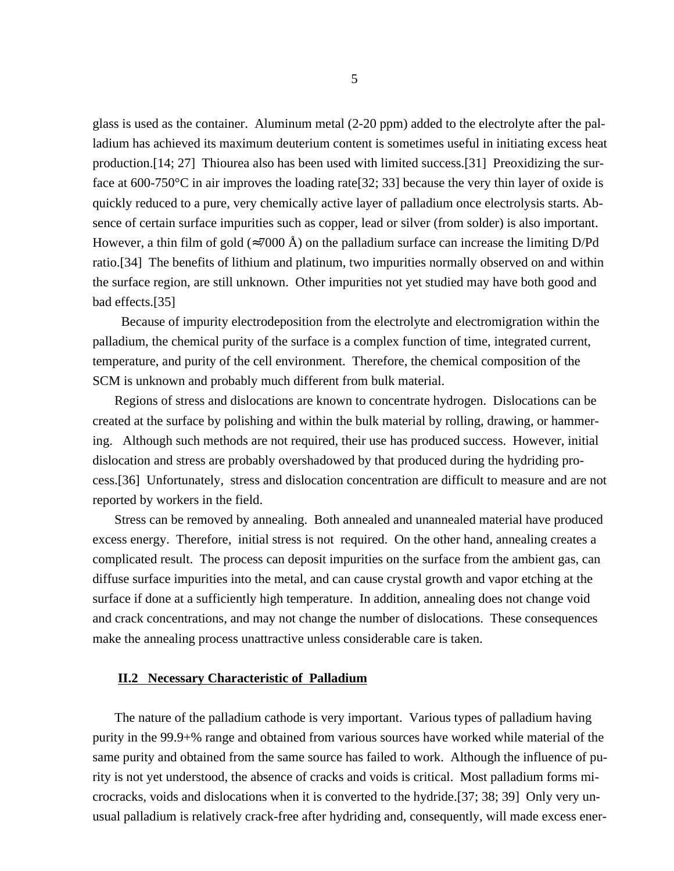glass is used as the container. Aluminum metal (2-20 ppm) added to the electrolyte after the palladium has achieved its maximum deuterium content is sometimes useful in initiating excess heat production.[14; 27] Thiourea also has been used with limited success.[31] Preoxidizing the surface at 600-750 °C in air improves the loading rate  $[32; 33]$  because the very thin layer of oxide is quickly reduced to a pure, very chemically active layer of palladium once electrolysis starts. Absence of certain surface impurities such as copper, lead or silver (from solder) is also important. However, a thin film of gold ( $7000 \text{ Å}$ ) on the palladium surface can increase the limiting D/Pd ratio.[34] The benefits of lithium and platinum, two impurities normally observed on and within the surface region, are still unknown. Other impurities not yet studied may have both good and bad effects.[35]

 Because of impurity electrodeposition from the electrolyte and electromigration within the palladium, the chemical purity of the surface is a complex function of time, integrated current, temperature, and purity of the cell environment. Therefore, the chemical composition of the SCM is unknown and probably much different from bulk material.

Regions of stress and dislocations are known to concentrate hydrogen. Dislocations can be created at the surface by polishing and within the bulk material by rolling, drawing, or hammering. Although such methods are not required, their use has produced success. However, initial dislocation and stress are probably overshadowed by that produced during the hydriding process.[36] Unfortunately, stress and dislocation concentration are difficult to measure and are not reported by workers in the field.

Stress can be removed by annealing. Both annealed and unannealed material have produced excess energy. Therefore, initial stress is not required. On the other hand, annealing creates a complicated result. The process can deposit impurities on the surface from the ambient gas, can diffuse surface impurities into the metal, and can cause crystal growth and vapor etching at the surface if done at a sufficiently high temperature. In addition, annealing does not change void and crack concentrations, and may not change the number of dislocations. These consequences make the annealing process unattractive unless considerable care is taken.

#### **II.2 Necessary Characteristic of Palladium**

The nature of the palladium cathode is very important. Various types of palladium having purity in the 99.9+% range and obtained from various sources have worked while material of the same purity and obtained from the same source has failed to work. Although the influence of purity is not yet understood, the absence of cracks and voids is critical. Most palladium forms microcracks, voids and dislocations when it is converted to the hydride.[37; 38; 39] Only very unusual palladium is relatively crack-free after hydriding and, consequently, will made excess ener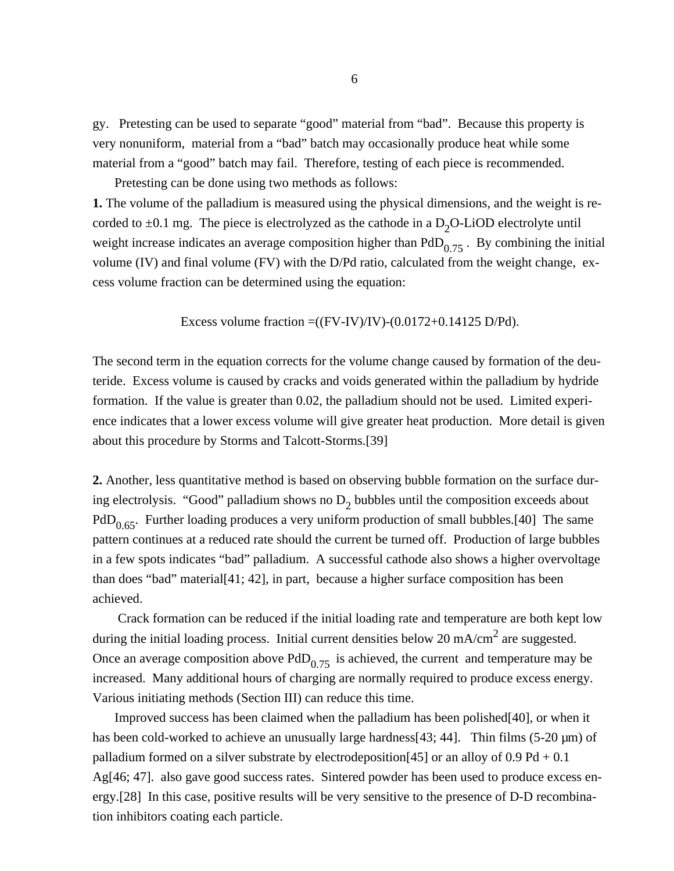gy. Pretesting can be used to separate "good" material from "bad". Because this property is very nonuniform, material from a "bad" batch may occasionally produce heat while some material from a "good" batch may fail. Therefore, testing of each piece is recommended.

Pretesting can be done using two methods as follows:

**1.** The volume of the palladium is measured using the physical dimensions, and the weight is recorded to  $\pm 0.1$  mg. The piece is electrolyzed as the cathode in a  $D_2O$ -LiOD electrolyte until weight increase indicates an average composition higher than  $PdD_{0.75}$ . By combining the initial volume (IV) and final volume (FV) with the D/Pd ratio, calculated from the weight change, excess volume fraction can be determined using the equation:

Excess volume fraction  $=(FV-IV)/IV)-(0.0172+0.14125 D/Pd)$ .

The second term in the equation corrects for the volume change caused by formation of the deuteride. Excess volume is caused by cracks and voids generated within the palladium by hydride formation. If the value is greater than 0.02, the palladium should not be used. Limited experience indicates that a lower excess volume will give greater heat production. More detail is given about this procedure by Storms and Talcott-Storms.[39]

**2.** Another, less quantitative method is based on observing bubble formation on the surface during electrolysis. "Good" palladium shows no  $D_2$  bubbles until the composition exceeds about PdD<sub>0.65</sub>. Further loading produces a very uniform production of small bubbles.[40] The same pattern continues at a reduced rate should the current be turned off. Production of large bubbles in a few spots indicates "bad" palladium. A successful cathode also shows a higher overvoltage than does "bad" material[41; 42], in part, because a higher surface composition has been achieved.

 Crack formation can be reduced if the initial loading rate and temperature are both kept low during the initial loading process. Initial current densities below 20 mA/cm<sup>2</sup> are suggested. Once an average composition above  $PdD_{0.75}$  is achieved, the current and temperature may be increased. Many additional hours of charging are normally required to produce excess energy. Various initiating methods (Section III) can reduce this time.

Improved success has been claimed when the palladium has been polished[40], or when it has been cold-worked to achieve an unusually large hardness[43; 44]. Thin films (5-20  $\mu$ m) of palladium formed on a silver substrate by electrodeposition[45] or an alloy of  $0.9$  Pd  $+0.1$ Ag[46; 47]. also gave good success rates. Sintered powder has been used to produce excess energy.[28] In this case, positive results will be very sensitive to the presence of D-D recombination inhibitors coating each particle.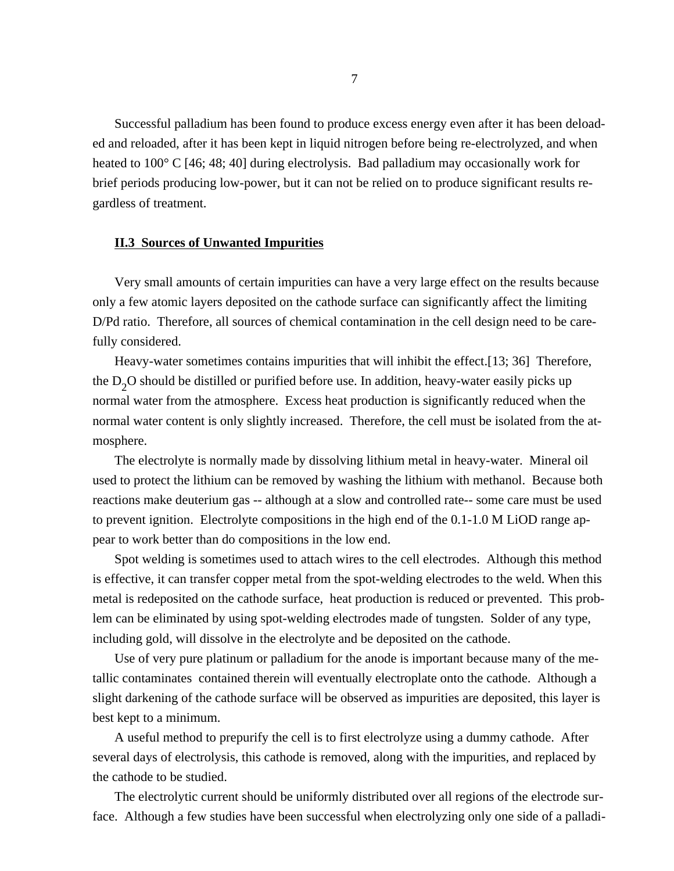Successful palladium has been found to produce excess energy even after it has been deloaded and reloaded, after it has been kept in liquid nitrogen before being re-electrolyzed, and when heated to 100° C [46; 48; 40] during electrolysis. Bad palladium may occasionally work for brief periods producing low-power, but it can not be relied on to produce significant results regardless of treatment.

#### **II.3 Sources of Unwanted Impurities**

Very small amounts of certain impurities can have a very large effect on the results because only a few atomic layers deposited on the cathode surface can significantly affect the limiting D/Pd ratio. Therefore, all sources of chemical contamination in the cell design need to be carefully considered.

Heavy-water sometimes contains impurities that will inhibit the effect.[13; 36] Therefore, the  $D_2$ O should be distilled or purified before use. In addition, heavy-water easily picks up normal water from the atmosphere. Excess heat production is significantly reduced when the normal water content is only slightly increased. Therefore, the cell must be isolated from the atmosphere.

The electrolyte is normally made by dissolving lithium metal in heavy-water. Mineral oil used to protect the lithium can be removed by washing the lithium with methanol. Because both reactions make deuterium gas -- although at a slow and controlled rate-- some care must be used to prevent ignition. Electrolyte compositions in the high end of the 0.1-1.0 M LiOD range appear to work better than do compositions in the low end.

Spot welding is sometimes used to attach wires to the cell electrodes. Although this method is effective, it can transfer copper metal from the spot-welding electrodes to the weld. When this metal is redeposited on the cathode surface, heat production is reduced or prevented. This problem can be eliminated by using spot-welding electrodes made of tungsten. Solder of any type, including gold, will dissolve in the electrolyte and be deposited on the cathode.

Use of very pure platinum or palladium for the anode is important because many of the metallic contaminates contained therein will eventually electroplate onto the cathode. Although a slight darkening of the cathode surface will be observed as impurities are deposited, this layer is best kept to a minimum.

A useful method to prepurify the cell is to first electrolyze using a dummy cathode. After several days of electrolysis, this cathode is removed, along with the impurities, and replaced by the cathode to be studied.

The electrolytic current should be uniformly distributed over all regions of the electrode surface. Although a few studies have been successful when electrolyzing only one side of a palladi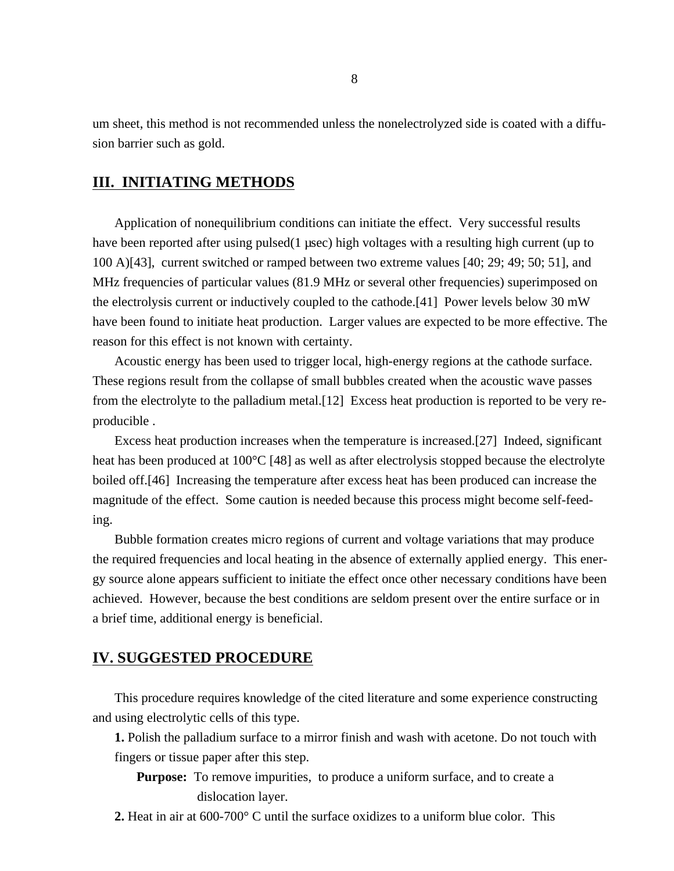um sheet, this method is not recommended unless the nonelectrolyzed side is coated with a diffusion barrier such as gold.

# **III. INITIATING METHODS**

Application of nonequilibrium conditions can initiate the effect. Very successful results have been reported after using pulsed(1 usec) high voltages with a resulting high current (up to 100 A)[43], current switched or ramped between two extreme values [40; 29; 49; 50; 51], and MHz frequencies of particular values (81.9 MHz or several other frequencies) superimposed on the electrolysis current or inductively coupled to the cathode.[41] Power levels below 30 mW have been found to initiate heat production. Larger values are expected to be more effective. The reason for this effect is not known with certainty.

Acoustic energy has been used to trigger local, high-energy regions at the cathode surface. These regions result from the collapse of small bubbles created when the acoustic wave passes from the electrolyte to the palladium metal.[12] Excess heat production is reported to be very reproducible .

Excess heat production increases when the temperature is increased.[27] Indeed, significant heat has been produced at 100<sup>o</sup>C [48] as well as after electrolysis stopped because the electrolyte boiled off.[46] Increasing the temperature after excess heat has been produced can increase the magnitude of the effect. Some caution is needed because this process might become self-feeding.

Bubble formation creates micro regions of current and voltage variations that may produce the required frequencies and local heating in the absence of externally applied energy. This energy source alone appears sufficient to initiate the effect once other necessary conditions have been achieved. However, because the best conditions are seldom present over the entire surface or in a brief time, additional energy is beneficial.

## **IV. SUGGESTED PROCEDURE**

This procedure requires knowledge of the cited literature and some experience constructing and using electrolytic cells of this type.

**1.** Polish the palladium surface to a mirror finish and wash with acetone. Do not touch with fingers or tissue paper after this step.

**Purpose:** To remove impurities, to produce a uniform surface, and to create a dislocation layer.

**2.** Heat in air at 600-700° C until the surface oxidizes to a uniform blue color. This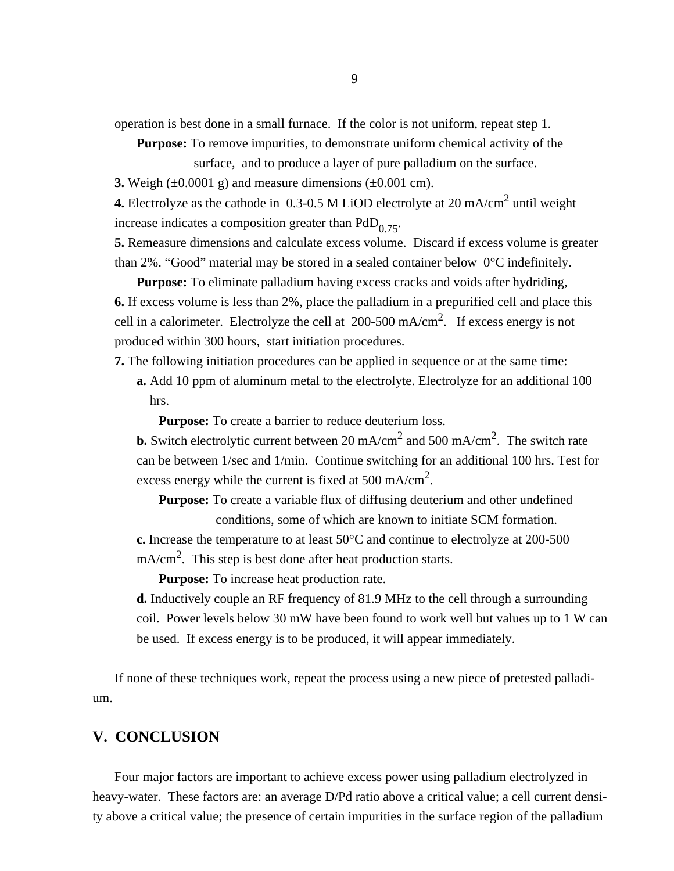operation is best done in a small furnace. If the color is not uniform, repeat step 1.

**Purpose:** To remove impurities, to demonstrate uniform chemical activity of the

surface, and to produce a layer of pure palladium on the surface.

**3.** Weigh  $(\pm 0.0001 \text{ g})$  and measure dimensions  $(\pm 0.001 \text{ cm})$ .

**4.** Electrolyze as the cathode in  $0.3{\text -}0.5$  M LiOD electrolyte at 20 mA/cm<sup>2</sup> until weight increase indicates a composition greater than  $PdD_{0.75}$ .

**5.** Remeasure dimensions and calculate excess volume. Discard if excess volume is greater than 2%. "Good" material may be stored in a sealed container below 0°C indefinitely.

**Purpose:** To eliminate palladium having excess cracks and voids after hydriding, **6.** If excess volume is less than 2%, place the palladium in a prepurified cell and place this cell in a calorimeter. Electrolyze the cell at  $200-500$  mA/cm<sup>2</sup>. If excess energy is not produced within 300 hours, start initiation procedures.

**7.** The following initiation procedures can be applied in sequence or at the same time:

**a.** Add 10 ppm of aluminum metal to the electrolyte. Electrolyze for an additional 100 hrs.

**Purpose:** To create a barrier to reduce deuterium loss.

**b.** Switch electrolytic current between 20 mA/cm<sup>2</sup> and 500 mA/cm<sup>2</sup>. The switch rate can be between 1/sec and 1/min. Continue switching for an additional 100 hrs. Test for excess energy while the current is fixed at 500 mA/cm<sup>2</sup>.

**Purpose:** To create a variable flux of diffusing deuterium and other undefined conditions, some of which are known to initiate SCM formation.

**c.** Increase the temperature to at least 50°C and continue to electrolyze at 200-500  $mA/cm<sup>2</sup>$ . This step is best done after heat production starts.

**Purpose:** To increase heat production rate.

**d.** Inductively couple an RF frequency of 81.9 MHz to the cell through a surrounding coil. Power levels below 30 mW have been found to work well but values up to 1 W can be used. If excess energy is to be produced, it will appear immediately.

If none of these techniques work, repeat the process using a new piece of pretested palladium.

# **V. CONCLUSION**

Four major factors are important to achieve excess power using palladium electrolyzed in heavy-water. These factors are: an average D/Pd ratio above a critical value; a cell current density above a critical value; the presence of certain impurities in the surface region of the palladium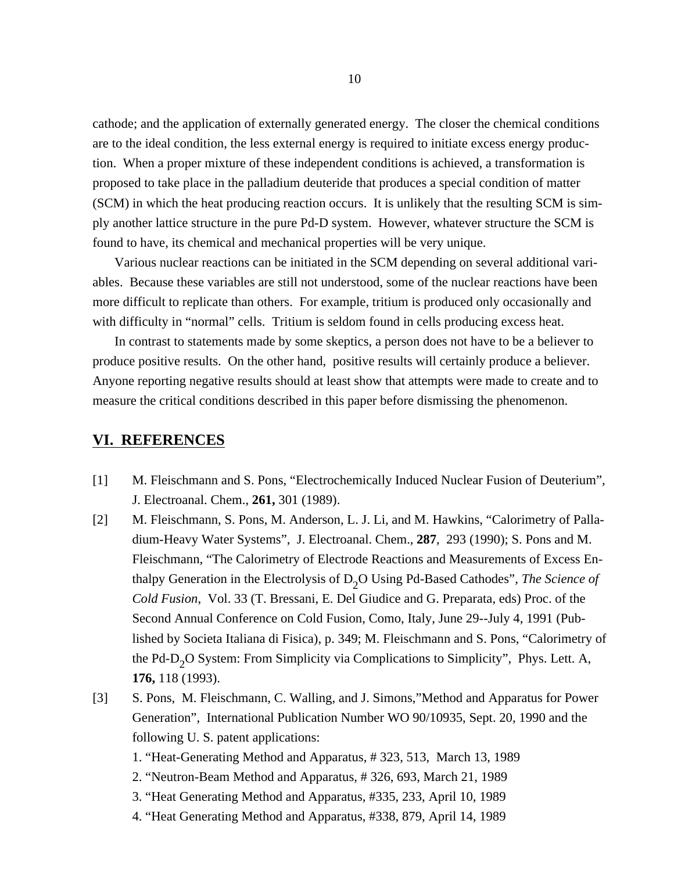cathode; and the application of externally generated energy. The closer the chemical conditions are to the ideal condition, the less external energy is required to initiate excess energy production. When a proper mixture of these independent conditions is achieved, a transformation is proposed to take place in the palladium deuteride that produces a special condition of matter (SCM) in which the heat producing reaction occurs. It is unlikely that the resulting SCM is simply another lattice structure in the pure Pd-D system. However, whatever structure the SCM is found to have, its chemical and mechanical properties will be very unique.

Various nuclear reactions can be initiated in the SCM depending on several additional variables. Because these variables are still not understood, some of the nuclear reactions have been more difficult to replicate than others. For example, tritium is produced only occasionally and with difficulty in "normal" cells. Tritium is seldom found in cells producing excess heat.

In contrast to statements made by some skeptics, a person does not have to be a believer to produce positive results. On the other hand, positive results will certainly produce a believer. Anyone reporting negative results should at least show that attempts were made to create and to measure the critical conditions described in this paper before dismissing the phenomenon.

### **VI. REFERENCES**

- [1] M. Fleischmann and S. Pons, "Electrochemically Induced Nuclear Fusion of Deuterium", J. Electroanal. Chem., **261,** 301 (1989).
- [2] M. Fleischmann, S. Pons, M. Anderson, L. J. Li, and M. Hawkins, "Calorimetry of Palladium-Heavy Water Systems", J. Electroanal. Chem., **287**, 293 (1990); S. Pons and M. Fleischmann, "The Calorimetry of Electrode Reactions and Measurements of Excess Enthalpy Generation in the Electrolysis of D<sub>2</sub>O Using Pd-Based Cathodes", *The Science of Cold Fusion*, Vol. 33 (T. Bressani, E. Del Giudice and G. Preparata, eds) Proc. of the Second Annual Conference on Cold Fusion, Como, Italy, June 29--July 4, 1991 (Published by Societa Italiana di Fisica), p. 349; M. Fleischmann and S. Pons, "Calorimetry of the Pd-D<sub>2</sub>O System: From Simplicity via Complications to Simplicity", Phys. Lett. A, **176,** 118 (1993).
- [3] S. Pons, M. Fleischmann, C. Walling, and J. Simons,"Method and Apparatus for Power Generation", International Publication Number WO 90/10935, Sept. 20, 1990 and the following U. S. patent applications:
	- 1. "Heat-Generating Method and Apparatus, # 323, 513, March 13, 1989
	- 2. "Neutron-Beam Method and Apparatus, # 326, 693, March 21, 1989
	- 3. "Heat Generating Method and Apparatus, #335, 233, April 10, 1989
	- 4. "Heat Generating Method and Apparatus, #338, 879, April 14, 1989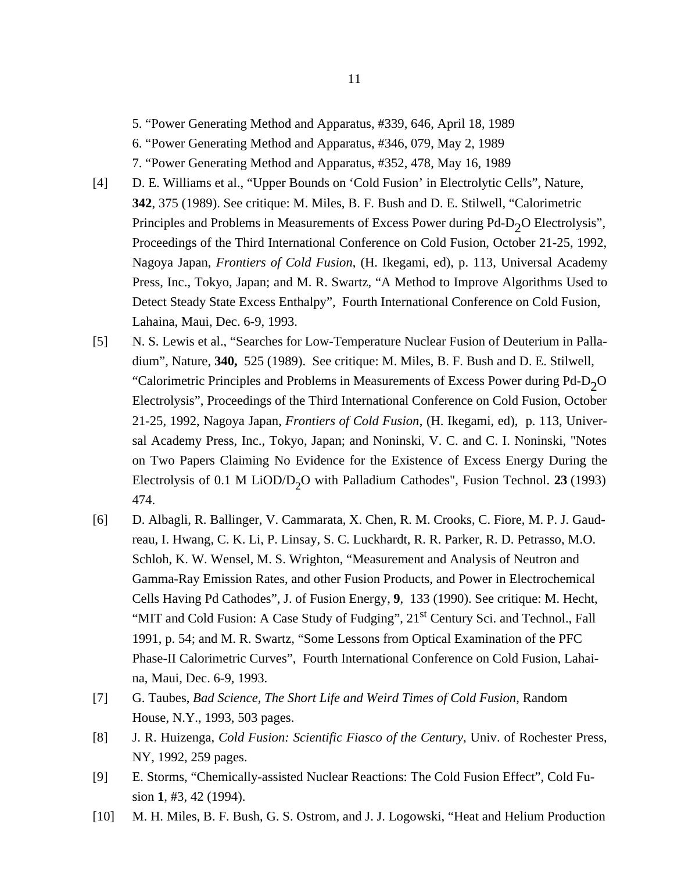- 5. "Power Generating Method and Apparatus, #339, 646, April 18, 1989
- 6. "Power Generating Method and Apparatus, #346, 079, May 2, 1989
- 7. "Power Generating Method and Apparatus, #352, 478, May 16, 1989
- [4] D. E. Williams et al., "Upper Bounds on 'Cold Fusion' in Electrolytic Cells", Nature, **342**, 375 (1989). See critique: M. Miles, B. F. Bush and D. E. Stilwell, "Calorimetric Principles and Problems in Measurements of Excess Power during  $Pd-D_2O$  Electrolysis", Proceedings of the Third International Conference on Cold Fusion, October 21-25, 1992, Nagoya Japan, *Frontiers of Cold Fusion*, (H. Ikegami, ed), p. 113, Universal Academy Press, Inc., Tokyo, Japan; and M. R. Swartz, "A Method to Improve Algorithms Used to Detect Steady State Excess Enthalpy", Fourth International Conference on Cold Fusion, Lahaina, Maui, Dec. 6-9, 1993.
- [5] N. S. Lewis et al., "Searches for Low-Temperature Nuclear Fusion of Deuterium in Palladium", Nature, **340,** 525 (1989). See critique: M. Miles, B. F. Bush and D. E. Stilwell, "Calorimetric Principles and Problems in Measurements of Excess Power during  $Pd-D_2O$ Electrolysis", Proceedings of the Third International Conference on Cold Fusion, October 21-25, 1992, Nagoya Japan, *Frontiers of Cold Fusion*, (H. Ikegami, ed), p. 113, Universal Academy Press, Inc., Tokyo, Japan; and Noninski, V. C. and C. I. Noninski, "Notes on Two Papers Claiming No Evidence for the Existence of Excess Energy During the Electrolysis of 0.1 M LiOD/D<sub>2</sub>O with Palladium Cathodes", Fusion Technol. 23 (1993) 474.
- [6] D. Albagli, R. Ballinger, V. Cammarata, X. Chen, R. M. Crooks, C. Fiore, M. P. J. Gaudreau, I. Hwang, C. K. Li, P. Linsay, S. C. Luckhardt, R. R. Parker, R. D. Petrasso, M.O. Schloh, K. W. Wensel, M. S. Wrighton, "Measurement and Analysis of Neutron and Gamma-Ray Emission Rates, and other Fusion Products, and Power in Electrochemical Cells Having Pd Cathodes", J. of Fusion Energy, **9**, 133 (1990). See critique: M. Hecht, "MIT and Cold Fusion: A Case Study of Fudging", 21<sup>st</sup> Century Sci. and Technol., Fall 1991, p. 54; and M. R. Swartz, "Some Lessons from Optical Examination of the PFC Phase-II Calorimetric Curves", Fourth International Conference on Cold Fusion, Lahaina, Maui, Dec. 6-9, 1993.
- [7] G. Taubes, *Bad Science, The Short Life and Weird Times of Cold Fusion*, Random House, N.Y., 1993, 503 pages.
- [8] J. R. Huizenga, *Cold Fusion: Scientific Fiasco of the Century*, Univ. of Rochester Press, NY, 1992, 259 pages.
- [9] E. Storms, "Chemically-assisted Nuclear Reactions: The Cold Fusion Effect", Cold Fusion **1**, #3, 42 (1994).
- [10] M. H. Miles, B. F. Bush, G. S. Ostrom, and J. J. Logowski, "Heat and Helium Production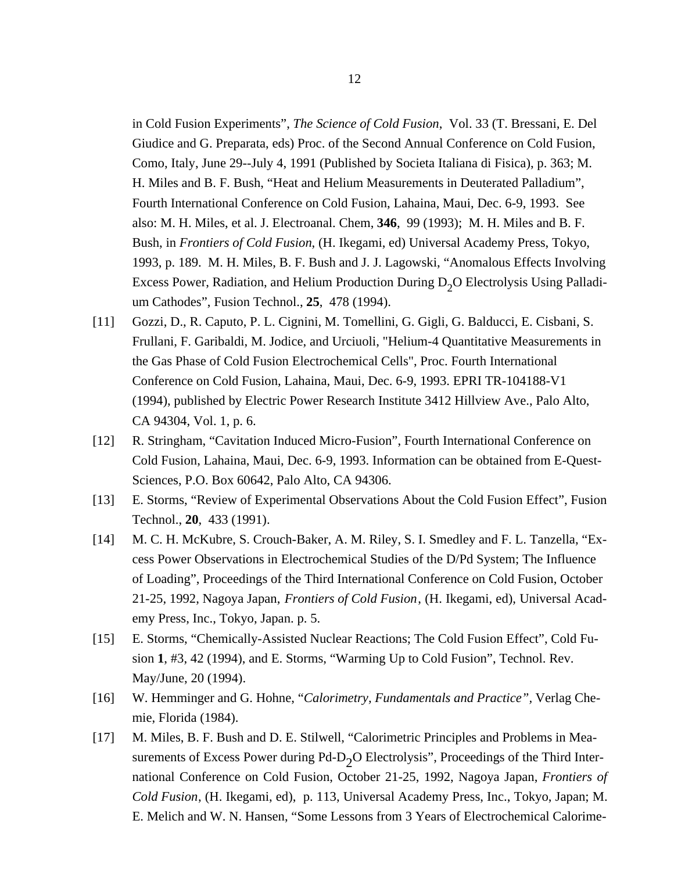in Cold Fusion Experiments", *The Science of Cold Fusion*, Vol. 33 (T. Bressani, E. Del Giudice and G. Preparata, eds) Proc. of the Second Annual Conference on Cold Fusion, Como, Italy, June 29--July 4, 1991 (Published by Societa Italiana di Fisica), p. 363; M. H. Miles and B. F. Bush, "Heat and Helium Measurements in Deuterated Palladium", Fourth International Conference on Cold Fusion, Lahaina, Maui, Dec. 6-9, 1993. See also: M. H. Miles, et al. J. Electroanal. Chem, **346**, 99 (1993); M. H. Miles and B. F. Bush, in *Frontiers of Cold Fusion*, (H. Ikegami, ed) Universal Academy Press, Tokyo, 1993, p. 189. M. H. Miles, B. F. Bush and J. J. Lagowski, "Anomalous Effects Involving Excess Power, Radiation, and Helium Production During  $D_2O$  Electrolysis Using Palladium Cathodes", Fusion Technol., **25**, 478 (1994).

- [11] Gozzi, D., R. Caputo, P. L. Cignini, M. Tomellini, G. Gigli, G. Balducci, E. Cisbani, S. Frullani, F. Garibaldi, M. Jodice, and Urciuoli, "Helium-4 Quantitative Measurements in the Gas Phase of Cold Fusion Electrochemical Cells", Proc. Fourth International Conference on Cold Fusion, Lahaina, Maui, Dec. 6-9, 1993. EPRI TR-104188-V1 (1994), published by Electric Power Research Institute 3412 Hillview Ave., Palo Alto, CA 94304, Vol. 1, p. 6.
- [12] R. Stringham, "Cavitation Induced Micro-Fusion", Fourth International Conference on Cold Fusion, Lahaina, Maui, Dec. 6-9, 1993. Information can be obtained from E-Quest-Sciences, P.O. Box 60642, Palo Alto, CA 94306.
- [13] E. Storms, "Review of Experimental Observations About the Cold Fusion Effect", Fusion Technol., **20**, 433 (1991).
- [14] M. C. H. McKubre, S. Crouch-Baker, A. M. Riley, S. I. Smedley and F. L. Tanzella, "Excess Power Observations in Electrochemical Studies of the D/Pd System; The Influence of Loading", Proceedings of the Third International Conference on Cold Fusion, October 21-25, 1992, Nagoya Japan, *Frontiers of Cold Fusion*, (H. Ikegami, ed), Universal Academy Press, Inc., Tokyo, Japan. p. 5.
- [15] E. Storms, "Chemically-Assisted Nuclear Reactions; The Cold Fusion Effect", Cold Fusion **1**, #3, 42 (1994), and E. Storms, "Warming Up to Cold Fusion", Technol. Rev. May/June, 20 (1994).
- [16] W. Hemminger and G. Hohne, "*Calorimetry, Fundamentals and Practice",* Verlag Chemie, Florida (1984).
- [17] M. Miles, B. F. Bush and D. E. Stilwell, "Calorimetric Principles and Problems in Measurements of Excess Power during  $Pd-D_2O$  Electrolysis", Proceedings of the Third International Conference on Cold Fusion, October 21-25, 1992, Nagoya Japan, *Frontiers of Cold Fusion*, (H. Ikegami, ed), p. 113, Universal Academy Press, Inc., Tokyo, Japan; M. E. Melich and W. N. Hansen, "Some Lessons from 3 Years of Electrochemical Calorime-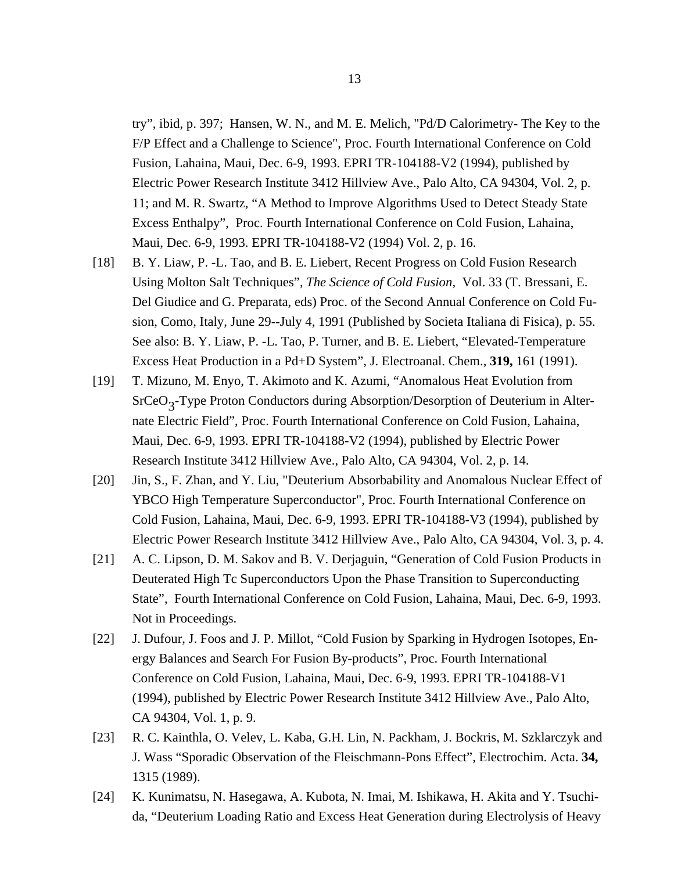try", ibid, p. 397; Hansen, W. N., and M. E. Melich, "Pd/D Calorimetry- The Key to the F/P Effect and a Challenge to Science", Proc. Fourth International Conference on Cold Fusion, Lahaina, Maui, Dec. 6-9, 1993. EPRI TR-104188-V2 (1994), published by Electric Power Research Institute 3412 Hillview Ave., Palo Alto, CA 94304, Vol. 2, p. 11; and M. R. Swartz, "A Method to Improve Algorithms Used to Detect Steady State Excess Enthalpy", Proc. Fourth International Conference on Cold Fusion, Lahaina, Maui, Dec. 6-9, 1993. EPRI TR-104188-V2 (1994) Vol. 2, p. 16.

- [18] B. Y. Liaw, P. -L. Tao, and B. E. Liebert, Recent Progress on Cold Fusion Research Using Molton Salt Techniques", *The Science of Cold Fusion*, Vol. 33 (T. Bressani, E. Del Giudice and G. Preparata, eds) Proc. of the Second Annual Conference on Cold Fusion, Como, Italy, June 29--July 4, 1991 (Published by Societa Italiana di Fisica), p. 55. See also: B. Y. Liaw, P. -L. Tao, P. Turner, and B. E. Liebert, "Elevated-Temperature Excess Heat Production in a Pd+D System", J. Electroanal. Chem., **319,** 161 (1991).
- [19] T. Mizuno, M. Enyo, T. Akimoto and K. Azumi, "Anomalous Heat Evolution from SrCeO<sub>3</sub>-Type Proton Conductors during Absorption/Desorption of Deuterium in Alternate Electric Field", Proc. Fourth International Conference on Cold Fusion, Lahaina, Maui, Dec. 6-9, 1993. EPRI TR-104188-V2 (1994), published by Electric Power Research Institute 3412 Hillview Ave., Palo Alto, CA 94304, Vol. 2, p. 14.
- [20] Jin, S., F. Zhan, and Y. Liu, "Deuterium Absorbability and Anomalous Nuclear Effect of YBCO High Temperature Superconductor", Proc. Fourth International Conference on Cold Fusion, Lahaina, Maui, Dec. 6-9, 1993. EPRI TR-104188-V3 (1994), published by Electric Power Research Institute 3412 Hillview Ave., Palo Alto, CA 94304, Vol. 3, p. 4.
- [21] A. C. Lipson, D. M. Sakov and B. V. Derjaguin, "Generation of Cold Fusion Products in Deuterated High Tc Superconductors Upon the Phase Transition to Superconducting State", Fourth International Conference on Cold Fusion, Lahaina, Maui, Dec. 6-9, 1993. Not in Proceedings.
- [22] J. Dufour, J. Foos and J. P. Millot, "Cold Fusion by Sparking in Hydrogen Isotopes, Energy Balances and Search For Fusion By-products", Proc. Fourth International Conference on Cold Fusion, Lahaina, Maui, Dec. 6-9, 1993. EPRI TR-104188-V1 (1994), published by Electric Power Research Institute 3412 Hillview Ave., Palo Alto, CA 94304, Vol. 1, p. 9.
- [23] R. C. Kainthla, O. Velev, L. Kaba, G.H. Lin, N. Packham, J. Bockris, M. Szklarczyk and J. Wass "Sporadic Observation of the Fleischmann-Pons Effect", Electrochim. Acta. **34,** 1315 (1989).
- [24] K. Kunimatsu, N. Hasegawa, A. Kubota, N. Imai, M. Ishikawa, H. Akita and Y. Tsuchida, "Deuterium Loading Ratio and Excess Heat Generation during Electrolysis of Heavy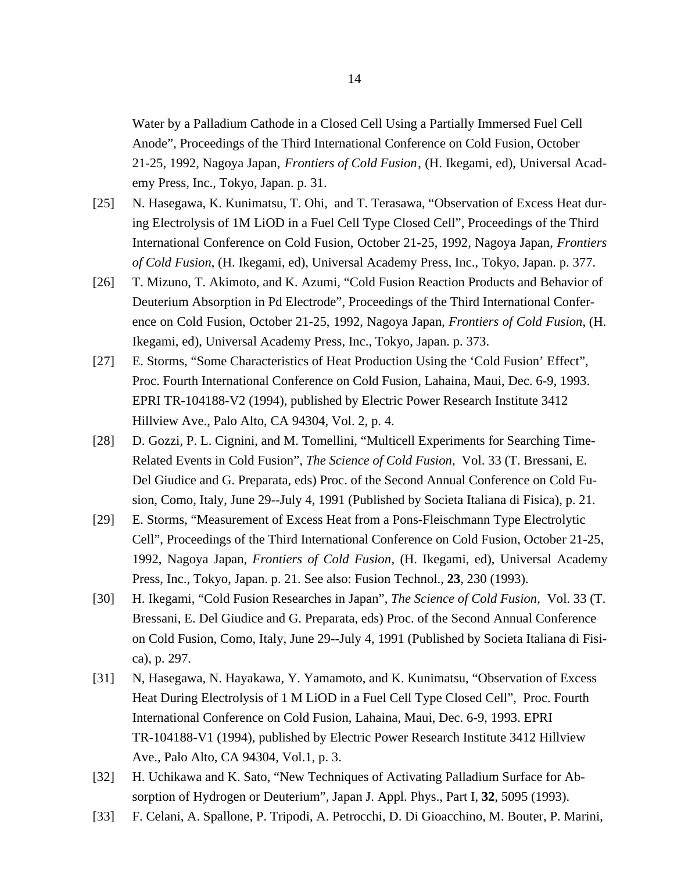Water by a Palladium Cathode in a Closed Cell Using a Partially Immersed Fuel Cell Anode", Proceedings of the Third International Conference on Cold Fusion, October 21-25, 1992, Nagoya Japan, *Frontiers of Cold Fusion*, (H. Ikegami, ed), Universal Academy Press, Inc., Tokyo, Japan. p. 31.

- [25] N. Hasegawa, K. Kunimatsu, T. Ohi, and T. Terasawa, "Observation of Excess Heat during Electrolysis of 1M LiOD in a Fuel Cell Type Closed Cell", Proceedings of the Third International Conference on Cold Fusion, October 21-25, 1992, Nagoya Japan, *Frontiers of Cold Fusion*, (H. Ikegami, ed), Universal Academy Press, Inc., Tokyo, Japan. p. 377.
- [26] T. Mizuno, T. Akimoto, and K. Azumi, "Cold Fusion Reaction Products and Behavior of Deuterium Absorption in Pd Electrode", Proceedings of the Third International Conference on Cold Fusion, October 21-25, 1992, Nagoya Japan, *Frontiers of Cold Fusion*, (H. Ikegami, ed), Universal Academy Press, Inc., Tokyo, Japan. p. 373.
- [27] E. Storms, "Some Characteristics of Heat Production Using the 'Cold Fusion' Effect", Proc. Fourth International Conference on Cold Fusion, Lahaina, Maui, Dec. 6-9, 1993. EPRI TR-104188-V2 (1994), published by Electric Power Research Institute 3412 Hillview Ave., Palo Alto, CA 94304, Vol. 2, p. 4.
- [28] D. Gozzi, P. L. Cignini, and M. Tomellini, "Multicell Experiments for Searching Time-Related Events in Cold Fusion", *The Science of Cold Fusion,* Vol. 33 (T. Bressani, E. Del Giudice and G. Preparata, eds) Proc. of the Second Annual Conference on Cold Fusion, Como, Italy, June 29--July 4, 1991 (Published by Societa Italiana di Fisica), p. 21.
- [29] E. Storms, "Measurement of Excess Heat from a Pons-Fleischmann Type Electrolytic Cell", Proceedings of the Third International Conference on Cold Fusion, October 21-25, 1992, Nagoya Japan, *Frontiers of Cold Fusion*, (H. Ikegami, ed), Universal Academy Press, Inc., Tokyo, Japan. p. 21. See also: Fusion Technol., **23**, 230 (1993).
- [30] H. Ikegami, "Cold Fusion Researches in Japan", *The Science of Cold Fusion*, Vol. 33 (T. Bressani, E. Del Giudice and G. Preparata, eds) Proc. of the Second Annual Conference on Cold Fusion, Como, Italy, June 29--July 4, 1991 (Published by Societa Italiana di Fisica), p. 297.
- [31] N, Hasegawa, N. Hayakawa, Y. Yamamoto, and K. Kunimatsu, "Observation of Excess Heat During Electrolysis of 1 M LiOD in a Fuel Cell Type Closed Cell", Proc. Fourth International Conference on Cold Fusion, Lahaina, Maui, Dec. 6-9, 1993. EPRI TR-104188-V1 (1994), published by Electric Power Research Institute 3412 Hillview Ave., Palo Alto, CA 94304, Vol.1, p. 3.
- [32] H. Uchikawa and K. Sato, "New Techniques of Activating Palladium Surface for Absorption of Hydrogen or Deuterium", Japan J. Appl. Phys., Part I, **32**, 5095 (1993).
- [33] F. Celani, A. Spallone, P. Tripodi, A. Petrocchi, D. Di Gioacchino, M. Bouter, P. Marini,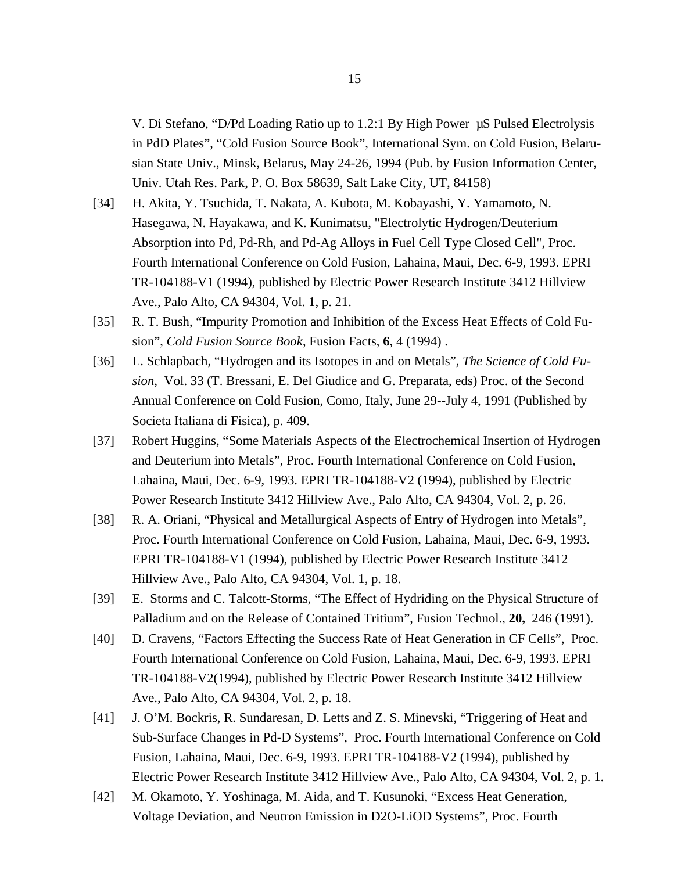V. Di Stefano, "D/Pd Loading Ratio up to 1.2:1 By High Power µS Pulsed Electrolysis in PdD Plates", "Cold Fusion Source Book", International Sym. on Cold Fusion, Belarusian State Univ., Minsk, Belarus, May 24-26, 1994 (Pub. by Fusion Information Center, Univ. Utah Res. Park, P. O. Box 58639, Salt Lake City, UT, 84158)

- [34] H. Akita, Y. Tsuchida, T. Nakata, A. Kubota, M. Kobayashi, Y. Yamamoto, N. Hasegawa, N. Hayakawa, and K. Kunimatsu, "Electrolytic Hydrogen/Deuterium Absorption into Pd, Pd-Rh, and Pd-Ag Alloys in Fuel Cell Type Closed Cell", Proc. Fourth International Conference on Cold Fusion, Lahaina, Maui, Dec. 6-9, 1993. EPRI TR-104188-V1 (1994), published by Electric Power Research Institute 3412 Hillview Ave., Palo Alto, CA 94304, Vol. 1, p. 21.
- [35] R. T. Bush, "Impurity Promotion and Inhibition of the Excess Heat Effects of Cold Fusion", *Cold Fusion Source Book*, Fusion Facts, **6**, 4 (1994) .
- [36] L. Schlapbach, "Hydrogen and its Isotopes in and on Metals", *The Science of Cold Fusion*, Vol. 33 (T. Bressani, E. Del Giudice and G. Preparata, eds) Proc. of the Second Annual Conference on Cold Fusion, Como, Italy, June 29--July 4, 1991 (Published by Societa Italiana di Fisica), p. 409.
- [37] Robert Huggins, "Some Materials Aspects of the Electrochemical Insertion of Hydrogen and Deuterium into Metals", Proc. Fourth International Conference on Cold Fusion, Lahaina, Maui, Dec. 6-9, 1993. EPRI TR-104188-V2 (1994), published by Electric Power Research Institute 3412 Hillview Ave., Palo Alto, CA 94304, Vol. 2, p. 26.
- [38] R. A. Oriani, "Physical and Metallurgical Aspects of Entry of Hydrogen into Metals", Proc. Fourth International Conference on Cold Fusion, Lahaina, Maui, Dec. 6-9, 1993. EPRI TR-104188-V1 (1994), published by Electric Power Research Institute 3412 Hillview Ave., Palo Alto, CA 94304, Vol. 1, p. 18.
- [39] E. Storms and C. Talcott-Storms, "The Effect of Hydriding on the Physical Structure of Palladium and on the Release of Contained Tritium", Fusion Technol., **20,** 246 (1991).
- [40] D. Cravens, "Factors Effecting the Success Rate of Heat Generation in CF Cells", Proc. Fourth International Conference on Cold Fusion, Lahaina, Maui, Dec. 6-9, 1993. EPRI TR-104188-V2(1994), published by Electric Power Research Institute 3412 Hillview Ave., Palo Alto, CA 94304, Vol. 2, p. 18.
- [41] J. O'M. Bockris, R. Sundaresan, D. Letts and Z. S. Minevski, "Triggering of Heat and Sub-Surface Changes in Pd-D Systems", Proc. Fourth International Conference on Cold Fusion, Lahaina, Maui, Dec. 6-9, 1993. EPRI TR-104188-V2 (1994), published by Electric Power Research Institute 3412 Hillview Ave., Palo Alto, CA 94304, Vol. 2, p. 1.
- [42] M. Okamoto, Y. Yoshinaga, M. Aida, and T. Kusunoki, "Excess Heat Generation, Voltage Deviation, and Neutron Emission in D2O-LiOD Systems", Proc. Fourth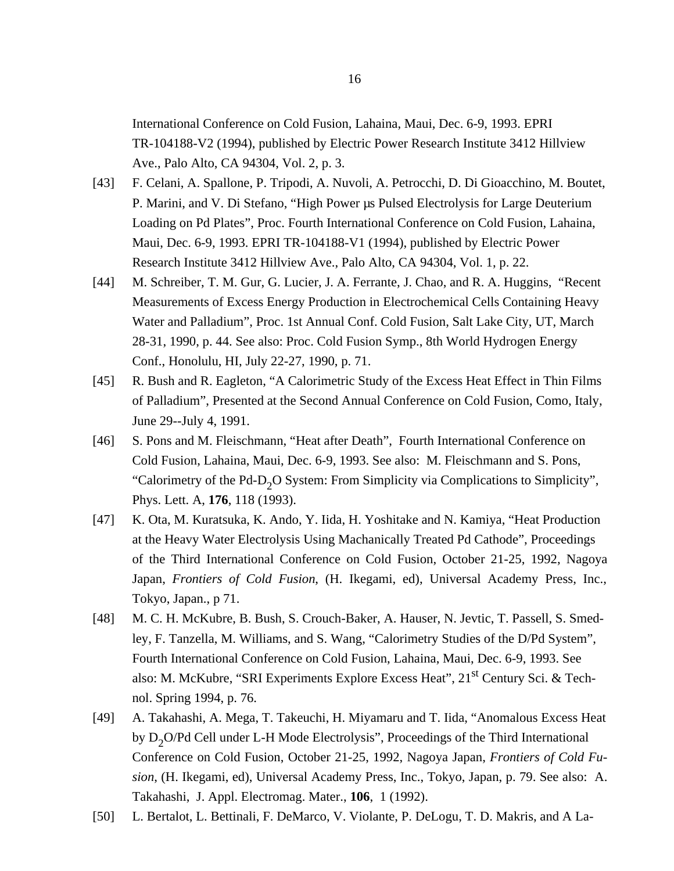International Conference on Cold Fusion, Lahaina, Maui, Dec. 6-9, 1993. EPRI TR-104188-V2 (1994), published by Electric Power Research Institute 3412 Hillview Ave., Palo Alto, CA 94304, Vol. 2, p. 3.

- [43] F. Celani, A. Spallone, P. Tripodi, A. Nuvoli, A. Petrocchi, D. Di Gioacchino, M. Boutet, P. Marini, and V. Di Stefano, "High Power µs Pulsed Electrolysis for Large Deuterium Loading on Pd Plates", Proc. Fourth International Conference on Cold Fusion, Lahaina, Maui, Dec. 6-9, 1993. EPRI TR-104188-V1 (1994), published by Electric Power Research Institute 3412 Hillview Ave., Palo Alto, CA 94304, Vol. 1, p. 22.
- [44] M. Schreiber, T. M. Gur, G. Lucier, J. A. Ferrante, J. Chao, and R. A. Huggins, "Recent Measurements of Excess Energy Production in Electrochemical Cells Containing Heavy Water and Palladium", Proc. 1st Annual Conf. Cold Fusion, Salt Lake City, UT, March 28-31, 1990, p. 44. See also: Proc. Cold Fusion Symp., 8th World Hydrogen Energy Conf., Honolulu, HI, July 22-27, 1990, p. 71.
- [45] R. Bush and R. Eagleton, "A Calorimetric Study of the Excess Heat Effect in Thin Films of Palladium", Presented at the Second Annual Conference on Cold Fusion, Como, Italy, June 29--July 4, 1991.
- [46] S. Pons and M. Fleischmann, "Heat after Death", Fourth International Conference on Cold Fusion, Lahaina, Maui, Dec. 6-9, 1993. See also: M. Fleischmann and S. Pons, "Calorimetry of the Pd-D<sub>2</sub>O System: From Simplicity via Complications to Simplicity", Phys. Lett. A, **176**, 118 (1993).
- [47] K. Ota, M. Kuratsuka, K. Ando, Y. Iida, H. Yoshitake and N. Kamiya, "Heat Production at the Heavy Water Electrolysis Using Machanically Treated Pd Cathode", Proceedings of the Third International Conference on Cold Fusion, October 21-25, 1992, Nagoya Japan, *Frontiers of Cold Fusion*, (H. Ikegami, ed), Universal Academy Press, Inc., Tokyo, Japan., p 71.
- [48] M. C. H. McKubre, B. Bush, S. Crouch-Baker, A. Hauser, N. Jevtic, T. Passell, S. Smedley, F. Tanzella, M. Williams, and S. Wang, "Calorimetry Studies of the D/Pd System", Fourth International Conference on Cold Fusion, Lahaina, Maui, Dec. 6-9, 1993. See also: M. McKubre, "SRI Experiments Explore Excess Heat",  $21<sup>st</sup>$  Century Sci. & Technol. Spring 1994, p. 76.
- [49] A. Takahashi, A. Mega, T. Takeuchi, H. Miyamaru and T. Iida, "Anomalous Excess Heat by  $D_2O/Pd$  Cell under L-H Mode Electrolysis", Proceedings of the Third International Conference on Cold Fusion, October 21-25, 1992, Nagoya Japan, *Frontiers of Cold Fusion*, (H. Ikegami, ed), Universal Academy Press, Inc., Tokyo, Japan, p. 79. See also: A. Takahashi, J. Appl. Electromag. Mater., **106**, 1 (1992).
- [50] L. Bertalot, L. Bettinali, F. DeMarco, V. Violante, P. DeLogu, T. D. Makris, and A La-